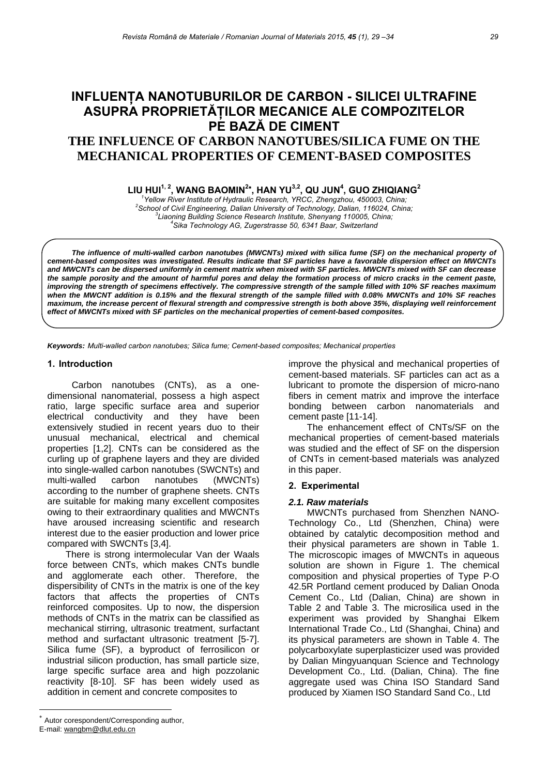# **INFLUENŢA NANOTUBURILOR DE CARBON - SILICEI ULTRAFINE ASUPRA PROPRIETĂŢILOR MECANICE ALE COMPOZITELOR PE BAZĂ DE CIMENT THE INFLUENCE OF CARBON NANOTUBES/SILICA FUME ON THE MECHANICAL PROPERTIES OF CEMENT-BASED COMPOSITES**

**LIU HUI<sup>1, 2</sup>, WANG BAOMIN<sup>2</sup><sup>∗</sup>, HAN YU<sup>3,2</sup>, QU JUN<sup>4</sup>, GUO ZHIQIANG<sup>2</sup><br>
<sup>2</sup>** *Yellow River Institute of Hydraulic Research, YRCC, Zhengzhou, 450003, China;***<br>
<sup>2</sup> School of Civil Engineering, Delign University of Techno** *School of Civil Engineering, Dalian University of Technology, Dalian, 116024, China; 3* <sup>3</sup> Liaoning Building Science Research Institute, Shenyang 110005, China; *Sika Technology AG, Zugerstrasse 50, 6341 Baar, Switzerland* 

*The influence of multi-walled carbon nanotubes (MWCNTs) mixed with silica fume (SF) on the mechanical property of cement-based composites was investigated. Results indicate that SF particles have a favorable dispersion effect on MWCNTs and MWCNTs can be dispersed uniformly in cement matrix when mixed with SF particles. MWCNTs mixed with SF can decrease the sample porosity and the amount of harmful pores and delay the formation process of micro cracks in the cement paste, improving the strength of specimens effectively. The compressive strength of the sample filled with 10% SF reaches maximum*  when the MWCNT addition is 0.15% and the flexural strength of the sample filled with 0.08% MWCNTs and 10% SF reaches *maximum, the increase percent of flexural strength and compressive strength is both above 35%, displaying well reinforcement effect of MWCNTs mixed with SF particles on the mechanical properties of cement-based composites.* 

*Keywords: Multi-walled carbon nanotubes; Silica fume; Cement-based composites; Mechanical properties* 

#### **1. Introduction**

Carbon nanotubes (CNTs), as a onedimensional nanomaterial, possess a high aspect ratio, large specific surface area and superior electrical conductivity and they have been extensively studied in recent years duo to their unusual mechanical, electrical and chemical properties [1,2]. CNTs can be considered as the curling up of graphene layers and they are divided into single-walled carbon nanotubes (SWCNTs) and multi-walled carbon nanotubes (MWCNTs) according to the number of graphene sheets. CNTs are suitable for making many excellent composites owing to their extraordinary qualities and MWCNTs have aroused increasing scientific and research interest due to the easier production and lower price compared with SWCNTs [3,4].

There is strong intermolecular Van der Waals force between CNTs, which makes CNTs bundle and agglomerate each other. Therefore, the dispersibility of CNTs in the matrix is one of the key factors that affects the properties of CNTs reinforced composites. Up to now, the dispersion methods of CNTs in the matrix can be classified as mechanical stirring, ultrasonic treatment, surfactant method and surfactant ultrasonic treatment [5-7]. Silica fume (SF), a byproduct of ferrosilicon or industrial silicon production, has small particle size, large specific surface area and high pozzolanic reactivity [8-10]. SF has been widely used as addition in cement and concrete composites to

The enhancement effect of CNTs/SF on the mechanical properties of cement-based materials was studied and the effect of SF on the dispersion of CNTs in cement-based materials was analyzed in this paper.

### **2. Experimental**

### *2.1. Raw materials*

MWCNTs purchased from Shenzhen NANO-Technology Co., Ltd (Shenzhen, China) were obtained by catalytic decomposition method and their physical parameters are shown in Table 1. The microscopic images of MWCNTs in aqueous solution are shown in Figure 1. The chemical composition and physical properties of Type P·O 42.5R Portland cement produced by Dalian Onoda Cement Co., Ltd (Dalian, China) are shown in Table 2 and Table 3. The microsilica used in the experiment was provided by Shanghai Elkem International Trade Co., Ltd (Shanghai, China) and its physical parameters are shown in Table 4. The polycarboxylate superplasticizer used was provided by Dalian Mingyuanquan Science and Technology Development Co., Ltd. (Dalian, China). The fine aggregate used was China ISO Standard Sand produced by Xiamen ISO Standard Sand Co., Ltd

l

improve the physical and mechanical properties of cement-based materials. SF particles can act as a lubricant to promote the dispersion of micro-nano fibers in cement matrix and improve the interface bonding between carbon nanomaterials and cement paste [11-14].

Autor corespondent/Corresponding author,

E-mail: wangbm@dlut.edu.cn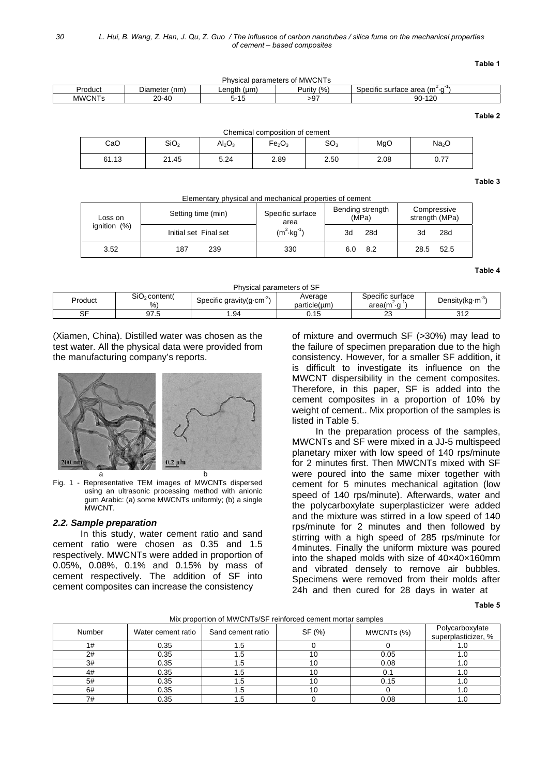**Table 1** 

| <b>MWCNTs</b><br>אח<br>hysical parameters<br>0t |                  |               |                |                                                      |  |  |
|-------------------------------------------------|------------------|---------------|----------------|------------------------------------------------------|--|--|
| Product                                         | (nm,<br>Diameter | (um<br>Lenath | (% )<br>Purity | (m <sup>e</sup><br>$\alpha$<br>Specific surface area |  |  |
| <b>MWCNTs</b>                                   | $20 - 40$        | 5-15          | 97ء            | 120<br>90-                                           |  |  |
|                                                 |                  |               |                |                                                      |  |  |

| Chemical composition of cement                                                                                                          |       |      |      |      |      |      |  |
|-----------------------------------------------------------------------------------------------------------------------------------------|-------|------|------|------|------|------|--|
| CaO<br>SO <sub>3</sub><br>SiO <sub>2</sub><br>MgO<br>Na <sub>2</sub> O<br>$\mathsf{Al}_2\mathsf{O}_3$<br>Fe <sub>2</sub> O <sub>3</sub> |       |      |      |      |      |      |  |
| 61.13                                                                                                                                   | 21.45 | 5.24 | 2.89 | 2.50 | 2.08 | 0.77 |  |

**Table 3** 

| Elementary physical and mechanical properties of cement |                       |                          |                           |                               |  |  |  |  |
|---------------------------------------------------------|-----------------------|--------------------------|---------------------------|-------------------------------|--|--|--|--|
| Loss on<br>ignition $(%)$                               | Setting time (min)    | Specific surface<br>area | Bending strength<br>(MPa) | Compressive<br>strength (MPa) |  |  |  |  |
|                                                         | Initial set Final set | $(m^2 \cdot kq^{-1})$    | 28d<br>3d                 | 28d<br>3d                     |  |  |  |  |
| 3.52                                                    | 187<br>239            | 330                      | 8.2                       | 52.5<br>28.5                  |  |  |  |  |

**Table 4** 

#### Physical parameters of SF

| Product       | SiO <sub>2</sub> content(<br>$\%$ | Specific gravity(g-cm | Average<br>particle(um) | $\cdots$<br>Specific surface<br>.<br>area(m <sup>-</sup><br>$\cdot$ | Density(kg-m |
|---------------|-----------------------------------|-----------------------|-------------------------|---------------------------------------------------------------------|--------------|
| $\sim$ $\sim$ | ن. ا ت                            | .94،                  | . .<br>ົ 1 ພ<br>U. I J  | ∼                                                                   | 210<br>◡⊢∠   |

(Xiamen, China). Distilled water was chosen as the test water. All the physical data were provided from the manufacturing company's reports.



Fig. 1 - Representative TEM images of MWCNTs dispersed using an ultrasonic processing method with anionic gum Arabic: (a) some MWCNTs uniformly; (b) a single MWCNT.

## *2.2. Sample preparation*

In this study, water cement ratio and sand cement ratio were chosen as 0.35 and 1.5 respectively. MWCNTs were added in proportion of 0.05%, 0.08%, 0.1% and 0.15% by mass of cement respectively. The addition of SF into cement composites can increase the consistency

 of mixture and overmuch SF (>30%) may lead to the failure of specimen preparation due to the high consistency. However, for a smaller SF addition, it is difficult to investigate its influence on the MWCNT dispersibility in the cement composites. Therefore, in this paper, SF is added into the cement composites in a proportion of 10% by weight of cement.. Mix proportion of the samples is listed in Table 5.

In the preparation process of the samples, MWCNTs and SF were mixed in a JJ-5 multispeed planetary mixer with low speed of 140 rps/minute for 2 minutes first. Then MWCNTs mixed with SF were poured into the same mixer together with cement for 5 minutes mechanical agitation (low speed of 140 rps/minute). Afterwards, water and the polycarboxylate superplasticizer were added and the mixture was stirred in a low speed of 140 rps/minute for 2 minutes and then followed by stirring with a high speed of 285 rps/minute for 4minutes. Finally the uniform mixture was poured into the shaped molds with size of 40×40×160mm and vibrated densely to remove air bubbles. Specimens were removed from their molds after 24h and then cured for 28 days in water at

**Table 5** 

| <b>TWIA PROPORTION IS OF THE REAGENER OF THE INTEGRATION CONTINUES</b> |                    |                   |        |            |                                        |  |  |
|------------------------------------------------------------------------|--------------------|-------------------|--------|------------|----------------------------------------|--|--|
| Number                                                                 | Water cement ratio | Sand cement ratio | SF (%) | MWCNTs (%) | Polycarboxylate<br>superplasticizer, % |  |  |
| 1#                                                                     | 0.35               | ن.                |        |            | 1.U                                    |  |  |
| 2#                                                                     | 0.35               | - 11              |        | 0.05       | 1.U                                    |  |  |
| 3#                                                                     | 0.35               |                   |        | 0.08       |                                        |  |  |
| 4#                                                                     | 0.35               |                   |        | 0.1        |                                        |  |  |
| 5#                                                                     | 0.35               |                   |        | 0.15       |                                        |  |  |
| 6#                                                                     | 0.35               | г. I              |        |            |                                        |  |  |
| 7#                                                                     | 0.35               | ن.                |        | 0.08       | 1.U                                    |  |  |

#### Mix proportion of MWCNTs/SF reinforced cement mortar samples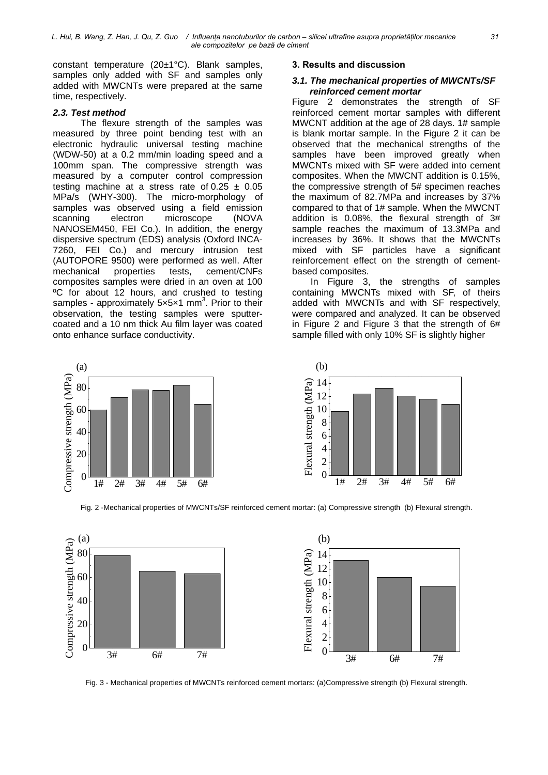constant temperature (20±1°C). Blank samples, samples only added with SF and samples only added with MWCNTs were prepared at the same time, respectively.

## *2.3. Test method*

The flexure strength of the samples was measured by three point bending test with an electronic hydraulic universal testing machine (WDW-50) at a 0.2 mm/min loading speed and a 100mm span. The compressive strength was measured by a computer control compression testing machine at a stress rate of  $0.25 \pm 0.05$ MPa/s (WHY-300). The micro-morphology of samples was observed using a field emission scanning electron microscope (NOVA NANOSEM450, FEI Co.). In addition, the energy dispersive spectrum (EDS) analysis (Oxford INCA-7260, FEI Co.) and mercury intrusion test (AUTOPORE 9500) were performed as well. After mechanical properties tests, cement/CNFs composites samples were dried in an oven at 100 <sup>o</sup>C for about 12 hours, and crushed to testing samples - approximately 5x5x1 mm<sup>3</sup>. Prior to their observation, the testing samples were sputtercoated and a 10 nm thick Au film layer was coated onto enhance surface conductivity.



## **3. Results and discussion**

#### *3.1. The mechanical properties of MWCNTs/SF reinforced cement mortar*

Figure 2 demonstrates the strength of SF reinforced cement mortar samples with different MWCNT addition at the age of 28 days. 1# sample is blank mortar sample. In the Figure 2 it can be observed that the mechanical strengths of the samples have been improved greatly when MWCNTs mixed with SF were added into cement composites. When the MWCNT addition is 0.15%, the compressive strength of 5# specimen reaches the maximum of 82.7MPa and increases by 37% compared to that of 1# sample. When the MWCNT addition is 0.08%, the flexural strength of 3# sample reaches the maximum of 13.3MPa and increases by 36%. It shows that the MWCNTs mixed with SF particles have a significant reinforcement effect on the strength of cementbased composites.

In Figure 3, the strengths of samples containing MWCNTs mixed with SF, of theirs added with MWCNTs and with SF respectively, were compared and analyzed. It can be observed in Figure 2 and Figure 3 that the strength of 6# sample filled with only 10% SF is slightly higher



Fig. 2 -Mechanical properties of MWCNTs/SF reinforced cement mortar: (a) Compressive strength (b) Flexural strength.



Fig. 3 - Mechanical properties of MWCNTs reinforced cement mortars: (a)Compressive strength (b) Flexural strength.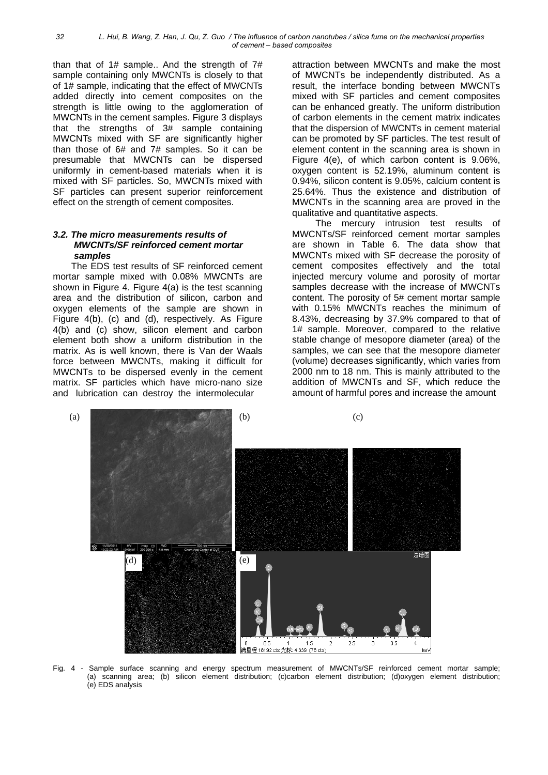than that of  $1#$  sample.. And the strength of  $7#$ sample containing only MWCNTs is closely to that of 1# sample, indicating that the effect of MWCNTs added directly into cement composites on the strength is little owing to the agglomeration of MWCNTs in the cement samples. Figure 3 displays that the strengths of 3# sample containing MWCNTs mixed with SF are significantly higher than those of 6# and 7# samples. So it can be presumable that MWCNTs can be dispersed uniformly in cement-based materials when it is mixed with SF particles. So, MWCNTs mixed with SF particles can present superior reinforcement effect on the strength of cement composites.

#### *3.2. The micro measurements results of MWCNTs/SF reinforced cement mortar samples*

The EDS test results of SF reinforced cement mortar sample mixed with 0.08% MWCNTs are shown in Figure 4. Figure 4(a) is the test scanning area and the distribution of silicon, carbon and oxygen elements of the sample are shown in Figure 4(b), (c) and (d), respectively. As Figure 4(b) and (c) show, silicon element and carbon element both show a uniform distribution in the matrix. As is well known, there is Van der Waals force between MWCNTs, making it difficult for MWCNTs to be dispersed evenly in the cement matrix. SF particles which have micro-nano size and lubrication can destroy the intermolecular

 attraction between MWCNTs and make the most of MWCNTs be independently distributed. As a result, the interface bonding between MWCNTs mixed with SF particles and cement composites can be enhanced greatly. The uniform distribution of carbon elements in the cement matrix indicates that the dispersion of MWCNTs in cement material can be promoted by SF particles. The test result of element content in the scanning area is shown in Figure 4(e), of which carbon content is 9.06%, oxygen content is 52.19%, aluminum content is 0.94%, silicon content is 9.05%, calcium content is 25.64%. Thus the existence and distribution of MWCNTs in the scanning area are proved in the qualitative and quantitative aspects.

The mercury intrusion test results of MWCNTs/SF reinforced cement mortar samples are shown in Table 6. The data show that MWCNTs mixed with SF decrease the porosity of cement composites effectively and the total injected mercury volume and porosity of mortar samples decrease with the increase of MWCNTs content. The porosity of 5# cement mortar sample with 0.15% MWCNTs reaches the minimum of 8.43%, decreasing by 37.9% compared to that of 1# sample. Moreover, compared to the relative stable change of mesopore diameter (area) of the samples, we can see that the mesopore diameter (volume) decreases significantly, which varies from 2000 nm to 18 nm. This is mainly attributed to the addition of MWCNTs and SF, which reduce the amount of harmful pores and increase the amount



Fig. 4 - Sample surface scanning and energy spectrum measurement of MWCNTs/SF reinforced cement mortar sample; (a) scanning area; (b) silicon element distribution; (c)carbon element distribution; (d)oxygen element distribution; (e) EDS analysis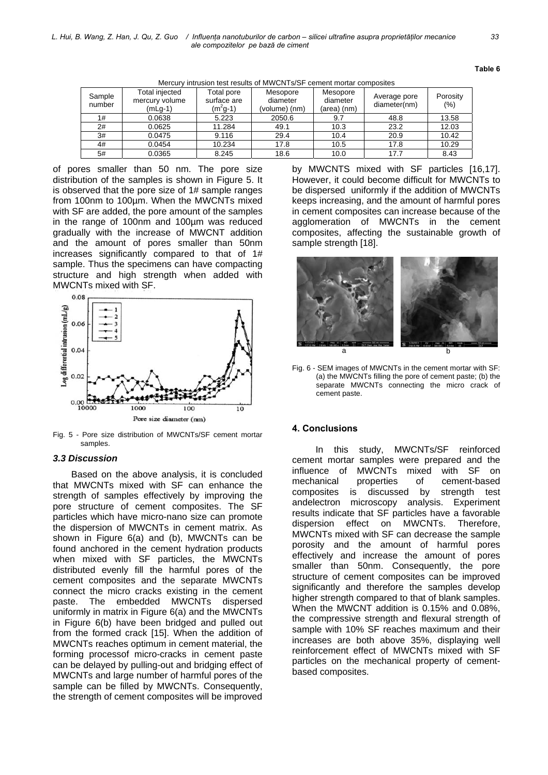| <u>Mercury intrusion lest results of MWCNTS/SF centent mortal composites</u> |                                             |                                        |                                       |                                     |                              |                     |  |
|------------------------------------------------------------------------------|---------------------------------------------|----------------------------------------|---------------------------------------|-------------------------------------|------------------------------|---------------------|--|
| Sample<br>number                                                             | Total injected<br>mercury volume<br>(mLg-1) | Total pore<br>surface are<br>$(m2g-1)$ | Mesopore<br>diameter<br>(volume) (nm) | Mesopore<br>diameter<br>(area) (nm) | Average pore<br>diameter(nm) | Porosity<br>$(\% )$ |  |
| 1#                                                                           | 0.0638                                      | 5.223                                  | 2050.6                                | 9.7                                 | 48.8                         | 13.58               |  |
| 2#                                                                           | 0.0625                                      | 11.284                                 | 49.1                                  | 10.3                                | 23.2                         | 12.03               |  |
| 3#                                                                           | 0.0475                                      | 9.116                                  | 29.4                                  | 10.4                                | 20.9                         | 10.42               |  |
| 4#                                                                           | 0.0454                                      | 10.234                                 | 17.8                                  | 10.5                                | 17.8                         | 10.29               |  |
| 5#                                                                           | 0.0365                                      | 8.245                                  | 18.6                                  | 10.0                                | 17.7                         | 8.43                |  |

Mercury intrusion test results of MWCNTs/SF cement mortar composites

of pores smaller than 50 nm. The pore size distribution of the samples is shown in Figure 5. It is observed that the pore size of 1# sample ranges from 100nm to 100µm. When the MWCNTs mixed with SF are added, the pore amount of the samples in the range of 100nm and 100µm was reduced gradually with the increase of MWCNT addition and the amount of pores smaller than 50nm increases significantly compared to that of 1# sample. Thus the specimens can have compacting structure and high strength when added with MWCNTs mixed with SF.



Fig. 5 - Pore size distribution of MWCNTs/SF cement mortar samples.

#### *3.3 Discussion*

Based on the above analysis, it is concluded that MWCNTs mixed with SF can enhance the strength of samples effectively by improving the pore structure of cement composites. The SF particles which have micro-nano size can promote the dispersion of MWCNTs in cement matrix. As shown in Figure 6(a) and (b), MWCNTs can be found anchored in the cement hydration products when mixed with SF particles, the MWCNTs distributed evenly fill the harmful pores of the cement composites and the separate MWCNTs connect the micro cracks existing in the cement paste. The embedded MWCNTs dispersed uniformly in matrix in Figure 6(a) and the MWCNTs in Figure 6(b) have been bridged and pulled out from the formed crack [15]. When the addition of MWCNTs reaches optimum in cement material, the forming processof micro-cracks in cement paste can be delayed by pulling-out and bridging effect of MWCNTs and large number of harmful pores of the sample can be filled by MWCNTs. Consequently, the strength of cement composites will be improved

**Table 6** 

by MWCNTS mixed with SF particles [16,17]. However, it could become difficult for MWCNTs to be dispersed uniformly if the addition of MWCNTs keeps increasing, and the amount of harmful pores in cement composites can increase because of the agglomeration of MWCNTs in the cement composites, affecting the sustainable growth of sample strength [18].



Fig. 6 - SEM images of MWCNTs in the cement mortar with SF: (a) the MWCNTs filling the pore of cement paste; (b) the separate MWCNTs connecting the micro crack of cement paste.

#### **4. Conclusions**

In this study, MWCNTs/SF reinforced cement mortar samples were prepared and the influence of MWCNTs mixed with SF on<br>mechanical properties of cement-based mechanical properties of cement-based composites is discussed by strength test andelectron microscopy analysis. Experiment results indicate that SF particles have a favorable dispersion effect on MWCNTs. Therefore, MWCNTs mixed with SF can decrease the sample porosity and the amount of harmful pores effectively and increase the amount of pores smaller than 50nm. Consequently, the pore structure of cement composites can be improved significantly and therefore the samples develop higher strength compared to that of blank samples. When the MWCNT addition is 0.15% and 0.08%, the compressive strength and flexural strength of sample with 10% SF reaches maximum and their increases are both above 35%, displaying well reinforcement effect of MWCNTs mixed with SF particles on the mechanical property of cementbased composites.